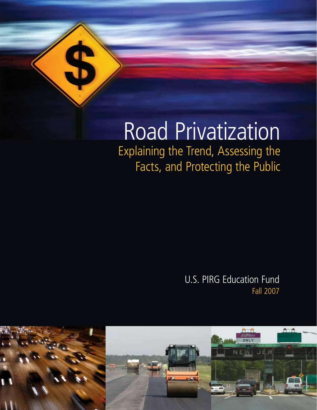

# Road Privatization

Explaining the Trend, Assessing the Facts, and Protecting the Public

> U.S. PIRG Education Fund Fall 2007

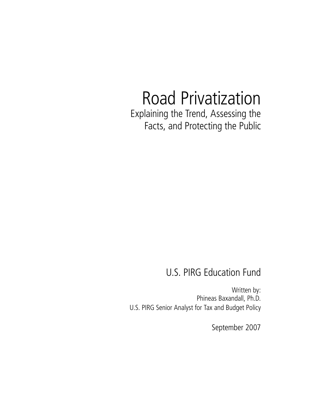# Road Privatization Explaining the Trend, Assessing the

Facts, and Protecting the Public

### U.S. PIRG Education Fund

Written by: Phineas Baxandall, Ph.D. U.S. PIRG Senior Analyst for Tax and Budget Policy

September 2007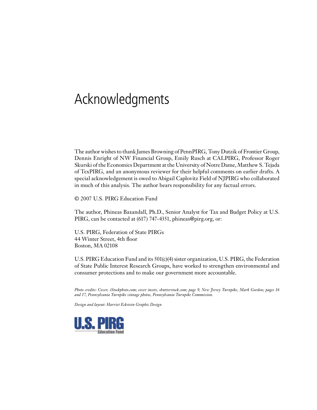## Acknowledgments

The author wishes to thank James Browning of PennPIRG, Tony Dutzik of Frontier Group, Dennis Enright of NW Financial Group, Emily Rusch at CALPIRG, Professor Roger Skurski of the Economics Department at the University of Notre Dame, Matthew S. Tejada of TexPIRG, and an anonymous reviewer for their helpful comments on earlier drafts. A special acknowledgement is owed to Abigail Caplovitz Field of NJPIRG who collaborated in much of this analysis. The author bears responsibility for any factual errors.

© 2007 U.S. PIRG Education Fund

The author, Phineas Baxandall, Ph.D., Senior Analyst for Tax and Budget Policy at U.S. PIRG, can be contacted at (617) 747-4351, phineas@pirg.org, or:

U.S. PIRG, Federation of State PIRGs 44 Winter Street, 4th floor Boston, MA 02108

U.S. PIRG Education Fund and its 501(c)(4) sister organization, U.S. PIRG, the Federation of State Public Interest Research Groups, have worked to strengthen environmental and consumer protections and to make our government more accountable.

*Photo credits: Cover, iStockphoto.com; cover insets, shutterstock.com; page 9, New Jersey Turnpike, Mark Gordon; pages 16 and 17, Pennsylvania Turnpike vintage photos, Pennsylvania Turnpike Commission.*

*Design and layout: Harriet Eckstein Graphic Design*

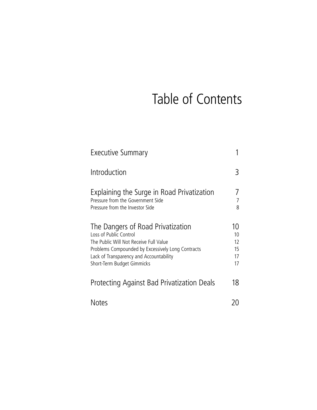# Table of Contents

| <b>Executive Summary</b>                                                                                                                                                                                                            |                                  |
|-------------------------------------------------------------------------------------------------------------------------------------------------------------------------------------------------------------------------------------|----------------------------------|
| Introduction                                                                                                                                                                                                                        | $\mathbf{B}$                     |
| Explaining the Surge in Road Privatization<br>Pressure from the Government Side<br>Pressure from the Investor Side                                                                                                                  | 8                                |
| The Dangers of Road Privatization<br>Loss of Public Control<br>The Public Will Not Receive Full Value<br>Problems Compounded by Excessively Long Contracts<br>Lack of Transparency and Accountability<br>Short-Term Budget Gimmicks | 10<br>10<br>12<br>15<br>17<br>17 |
| Protecting Against Bad Privatization Deals                                                                                                                                                                                          | 18                               |
| Notes                                                                                                                                                                                                                               |                                  |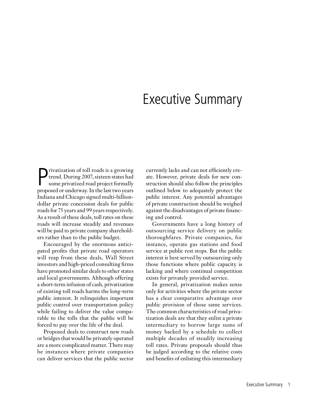### Executive Summary

**P** rivatization of toll roads is a growing<br>trend. During 2007, sixteen states had<br>some privatized road project formally<br>proposed or underway. In the last two years rivatization of toll roads is a growing trend. During 2007, sixteen states had some privatized road project formally Indiana and Chicago signed multi-billiondollar private concession deals for public roads for 75 years and 99 years respectively. As a result of these deals, toll rates on these roads will increase steadily and revenues will be paid to private company shareholders rather than to the public budget.

Encouraged by the enormous anticipated profits that private road operators will reap from these deals, Wall Street investors and high-priced consulting firms have promoted similar deals to other states and local governments. Although offering a short-term infusion of cash, privatization of existing toll roads harms the long-term public interest. It relinquishes important public control over transportation policy while failing to deliver the value comparable to the tolls that the public will be forced to pay over the life of the deal.

Proposed deals to construct new roads or bridges that would be privately operated are a more complicated matter. There may be instances where private companies can deliver services that the public sector

currently lacks and can not efficiently create. However, private deals for new construction should also follow the principles outlined below to adequately protect the public interest. Any potential advantages of private construction should be weighed against the disadvantages of private financing and control.

Governments have a long history of outsourcing service delivery on public thoroughfares. Private companies, for instance, operate gas stations and food service at public rest stops. But the public interest is best served by outsourcing only those functions where public capacity is lacking and where continual competition exists for privately provided service.

In general, privatization makes sense only for activities where the private sector has a clear comparative advantage over public provision of those same services. The common characteristics of road privatization deals are that they enlist a private intermediary to borrow large sums of money backed by a schedule to collect multiple decades of steadily increasing toll rates. Private proposals should thus be judged according to the relative costs and benefits of enlisting this intermediary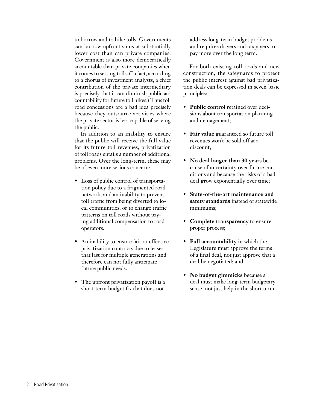to borrow and to hike tolls. Governments can borrow upfront sums at substantially lower cost than can private companies. Government is also more democratically accountable than private companies when it comes to setting tolls. (In fact, according to a chorus of investment analysts, a chief contribution of the private intermediary is precisely that it can diminish public accountability for future toll hikes.) Thus toll road concessions are a bad idea precisely because they outsource activities where the private sector is less capable of serving the public.

In addition to an inability to ensure that the public will receive the full value for its future toll revenues, privatization of toll roads entails a number of additional problems. Over the long-term, these may be of even more serious concern:

- Loss of public control of transportation policy due to a fragmented road network, and an inability to prevent toll traffic from being diverted to local communities, or to change traffic patterns on toll roads without paying additional compensation to road operators.
- An inability to ensure fair or effective privatization contracts due to leases that last for multiple generations and therefore can not fully anticipate future public needs.
- The upfront privatization payoff is a short-term budget fix that does not

address long-term budget problems and requires drivers and taxpayers to pay more over the long term.

For both existing toll roads and new construction, the safeguards to protect the public interest against bad privatization deals can be expressed in seven basic principles:

- **Public control** retained over decisions about transportation planning and management;
- **Fair value** guaranteed so future toll revenues won't be sold off at a discount;
- **No deal longer than 30 year**s because of uncertainty over future conditions and because the risks of a bad deal grow exponentially over time;
- **State-of-the-art maintenance and safety standards** instead of statewide minimums;
- **Complete transparency** to ensure proper process;
- **Full accountability** in which the Legislature must approve the terms of a final deal, not just approve that a deal be negotiated; and
- **No budget gimmicks** because a deal must make long-term budgetary sense, not just help in the short term.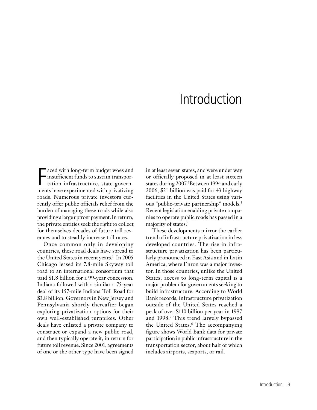## Introduction

Faced with long-term budget woes and<br>insufficient funds to sustain transpor-<br>tation infrastructure, state govern-<br>ments have experimented with privatizing aced with long-term budget woes and insufficient funds to sustain transportation infrastructure, state governroads. Numerous private investors currently offer public officials relief from the burden of managing these roads while also providing a large upfront payment. In return, the private entities seek the right to collect for themselves decades of future toll revenues and to steadily increase toll rates.

Once common only in developing countries, these road deals have spread to the United States in recent years.<sup>1</sup> In 2005 Chicago leased its 7.8-mile Skyway toll road to an international consortium that paid \$1.8 billion for a 99-year concession. Indiana followed with a similar a 75-year deal of its 157-mile Indiana Toll Road for \$3.8 billion. Governors in New Jersey and Pennsylvania shortly thereafter began exploring privatization options for their own well-established turnpikes. Other deals have enlisted a private company to construct or expand a new public road, and then typically operate it, in return for future toll revenue. Since 2001, agreements of one or the other type have been signed

in at least seven states, and were under way or officially proposed in at least sixteen states during 2007.2 Between 1994 and early 2006, \$21 billion was paid for 43 highway facilities in the United States using various "public-private partnership" models.3 Recent legislation enabling private companies to operate public roads has passed in a majority of states.4

These developments mirror the earlier trend of infrastructure privatization in less developed countries. The rise in infrastructure privatization has been particularly pronounced in East Asia and in Latin America, where Enron was a major investor. In those countries, unlike the United States, access to long-term capital is a major problem for governments seeking to build infrastructure. According to World Bank records, infrastructure privatization outside of the United States reached a peak of over \$110 billion per year in 1997 and 1998.<sup>5</sup> This trend largely bypassed the United States.6 The accompanying figure shows World Bank data for private participation in public infrastructure in the transportation sector, about half of which includes airports, seaports, or rail.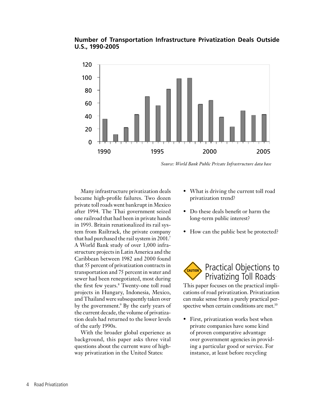#### **Number of Transportation Infrastructure Privatization Deals Outside U.S., 1990-2005**



*Source: World Bank Public Private Infrastructure data base*

Many infrastructure privatization deals became high-profile failures. Two dozen private toll roads went bankrupt in Mexico after 1994. The Thai government seized one railroad that had been in private hands in 1993. Britain renationalized its rail system from Railtrack, the private company that had purchased the rail system in 2001.7 A World Bank study of over 1,000 infrastructure projects in Latin America and the Caribbean between 1982 and 2000 found that 55 percent of privatization contracts in transportation and 75 percent in water and sewer had been renegotiated, most during the first few years.8 Twenty-one toll road projects in Hungary, Indonesia, Mexico, and Thailand were subsequently taken over by the government.<sup>9</sup> By the early years of the current decade, the volume of privatization deals had returned to the lower levels of the early 1990s.

With the broader global experience as background, this paper asks three vital questions about the current wave of highway privatization in the United States:

- What is driving the current toll road privatization trend?
- Do these deals benefit or harm the long-term public interest?
- How can the public best be protected?



This paper focuses on the practical implications of road privatization. Privatization can make sense from a purely practical perspective when certain conditions are met.<sup>10</sup>

• First, privatization works best when private companies have some kind of proven comparative advantage over government agencies in providing a particular good or service. For instance, at least before recycling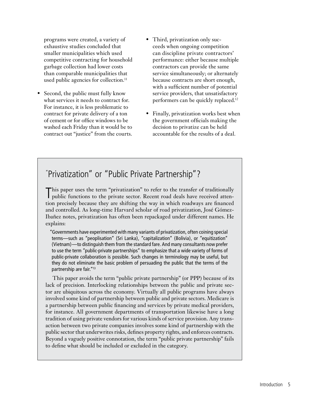programs were created, a variety of exhaustive studies concluded that smaller municipalities which used competitive contracting for household garbage collection had lower costs than comparable municipalities that used public agencies for collection.<sup>11</sup>

- Second, the public must fully know what services it needs to contract for. For instance, it is less problematic to contract for private delivery of a ton of cement or for office windows to be washed each Friday than it would be to contract out "justice" from the courts.
- Third, privatization only succeeds when ongoing competition can discipline private contractors' performance: either because multiple contractors can provide the same service simultaneously; or alternately because contracts are short enough, with a sufficient number of potential service providers, that unsatisfactory performers can be quickly replaced.12
- Finally, privatization works best when the government officials making the decision to privatize can be held accountable for the results of a deal.

### " Privatization" or "Public Private Partnership"?

T his paper uses the term "privatization" to refer to the transfer of traditionally public functions to the private sector. Recent road deals have received attention precisely because they are shifting the way in which roadways are financed and controlled. As long-time Harvard scholar of road privatization, José Gómez-Ibañez notes, privatization has often been repackaged under different names. He explains:

"Governments have experimented with many variants of privatization, often coining special terms—such as "peoplisation" (Sri Lanka), "capitalization" (Bolivia), or "equitization" (Vietnam)—to distinguish them from the standard fare. And many consultants now prefer to use the term "public-private partnerships" to emphasize that a wide variety of forms of public-private collaboration is possible. Such changes in terminology may be useful, but they do not eliminate the basic problem of persuading the public that the terms of the partnership are fair."13

This paper avoids the term "public private partnership" (or PPP) because of its lack of precision. Interlocking relationships between the public and private sector are ubiquitous across the economy. Virtually all public programs have always involved some kind of partnership between public and private sectors. Medicare is a partnership between public financing and services by private medical providers, for instance. All government departments of transportation likewise have a long tradition of using private vendors for various kinds of service provision. Any transaction between two private companies involves some kind of partnership with the public sector that underwrites risks, defines property rights, and enforces contracts. Beyond a vaguely positive connotation, the term "public private partnership" fails to define what should be included or excluded in the category.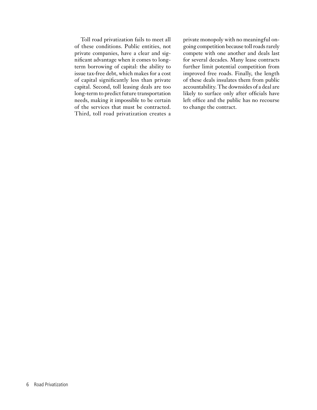Toll road privatization fails to meet all of these conditions. Public entities, not private companies, have a clear and significant advantage when it comes to longterm borrowing of capital: the ability to issue tax-free debt, which makes for a cost of capital significantly less than private capital. Second, toll leasing deals are too long-term to predict future transportation needs, making it impossible to be certain of the services that must be contracted. Third, toll road privatization creates a

private monopoly with no meaningful ongoing competition because toll roads rarely compete with one another and deals last for several decades. Many lease contracts further limit potential competition from improved free roads. Finally, the length of these deals insulates them from public accountability. The downsides of a deal are likely to surface only after officials have left office and the public has no recourse to change the contract.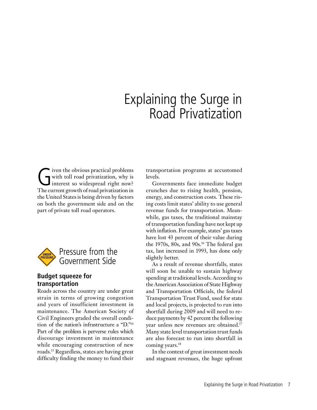### Explaining the Surge in Road Privatization

Given the obvious practical problems<br>with toll road privatization, why is<br>interest so widespread right now? with toll road privatization, why is interest so widespread right now? The current growth of road privatization in the United States is being driven by factors on both the government side and on the part of private toll road operators.



#### **Budget squeeze for transportation**

Roads across the country are under great strain in terms of growing congestion and years of insufficient investment in maintenance. The American Society of Civil Engineers graded the overall condition of the nation's infrastructure a "D."14 Part of the problem is perverse rules which discourage investment in maintenance while encouraging construction of new roads.15 Regardless, states are having great difficulty finding the money to fund their transportation programs at accustomed levels.

Governments face immediate budget crunches due to rising health, pension, energy, and construction costs. These rising costs limit states' ability to use general revenue funds for transportation. Meanwhile, gas taxes, the traditional mainstay of transportation funding have not kept up with inflation. For example, states' gas taxes have lost 43 percent of their value during the 1970s, 80s, and 90s.16 The federal gas tax, last increased in 1993, has done only slightly better.

As a result of revenue shortfalls, states will soon be unable to sustain highway spending at traditional levels. According to the American Association of State Highway and Transportation Officials, the federal Transportation Trust Fund, used for state and local projects, is projected to run into shortfall during 2009 and will need to reduce payments by 42 percent the following year unless new revenues are obtained.17 Many state level transportation trust funds are also forecast to run into shortfall in coming years.18

In the context of great investment needs and stagnant revenues, the huge upfront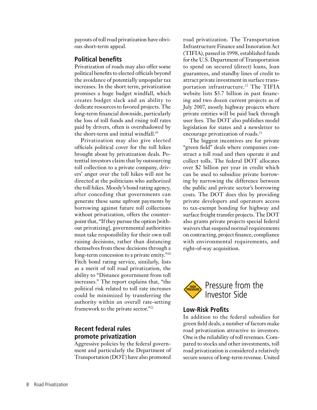payouts of toll road privatization have obvious short-term appeal.

#### **Political benefits**

Privatization of roads may also offer some political benefits to elected officials beyond the avoidance of potentially unpopular tax increases. In the short term, privatization promises a huge budget windfall, which creates budget slack and an ability to dedicate resources to favored projects. The long-term financial downside, particularly the loss of toll funds and rising toll rates paid by drivers, often is overshadowed by the short-term and initial windfall.<sup>19</sup>

Privatization may also give elected officials political cover for the toll hikes brought about by privatization deals. Potential investors claim that by outsourcing toll collection to a private company, drivers' anger over the toll hikes will not be directed at the politicians who authorized the toll hikes. Moody's bond rating agency, after conceding that governments can generate these same upfront payments by borrowing against future toll collections without privatization, offers the counterpoint that, "If they pursue the option [without privatizing], governmental authorities must take responsibility for their own toll raising decisions, rather than distancing themselves from these decisions through a long-term concession to a private entity."<sup>20</sup> Fitch bond rating service, similarly, lists as a merit of toll road privatization, the ability to "Distance government from toll increases." The report explains that, "the political risk related to toll rate increases could be minimized by transferring the authority within an overall rate-setting framework to the private sector."21

#### **Recent federal rules promote privatization**

Aggressive policies by the federal government and particularly the Department of Transportation (DOT) have also promoted

road privatization. The Transportation Infrastructure Finance and Innovation Act (TIFIA), passed in 1998, established funds for the U.S. Department of Transportation to spend on secured (direct) loans, loan guarantees, and standby lines of credit to attract private investment in surface transportation infrastructure.<sup>22</sup> The TIFIA website lists \$3.7 billion in past financing and two dozen current projects as of July 2007, mostly highway projects where private entities will be paid back through user fees. The DOT also publishes model legislation for states and a newsletter to encourage privatization of roads.<sup>23</sup>

The biggest incentives are for private "green field" deals where companies construct a toll road and then operate it and collect tolls. The federal DOT allocates over \$2 billion per year in credit which can be used to subsidize private borrowing by narrowing the difference between the public and private sector's borrowing costs. The DOT does this by providing private developers and operators access to tax-exempt bonding for highway and surface freight transfer projects. The DOT also grants private projects special federal waivers that suspend normal requirements on contracting, project finance, compliance with environmental requirements, and right-of-way acquisition.



#### **Low-Risk Profits**

In addition to the federal subsidies for green field deals, a number of factors make road privatization attractive to investors. One is the reliability of toll revenues. Compared to stocks and other investments, toll road privatization is considered a relatively secure source of long-term revenue. United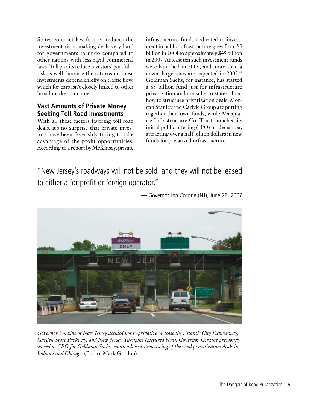States contract law further reduces the investment risks, making deals very hard for governments to undo compared to other nations with less rigid commercial laws. Toll profits reduce investors' portfolio risk as well, because the returns on these investments depend chiefly on traffic flow, which for cars isn't closely linked to other broad market outcomes.

#### **Vast Amounts of Private Money Seeking Toll Road Investments**

With all these factors favoring toll road deals, it's no surprise that private investors have been feverishly trying to take advantage of the profit opportunities. According to a report by McKinsey, private infrastructure funds dedicated to investment in public infrastructure grew from \$5 billion in 2004 to approximately \$45 billion in 2007. At least ten such investment funds were launched in 2006, and more than a dozen large ones are expected in 2007.24 Goldman Sachs, for instance, has started a \$3 billion fund just for infrastructure privatization and consults to states about how to structure privatization deals. Morgan Stanley and Carlyle Group are putting together their own funds, while Macquarie Infrastructure Co. Trust launched its initial public offering (IPO) in December, attracting over a half billion dollars in new funds for privatized infrastructure.

"New Jersey's roadways will not be sold, and they will not be leased to either a for-profit or foreign operator."



— Governor Jon Corzine (NJ), June 28, 2007

*Governor Corzine of New Jersey decided not to privatize or lease the Atlantic City Expressway, Garden State Parkway, and New Jersey Turnpike (pictured here). Governor Corzine previously served as CEO for Goldman Sachs, which advised structuring of the road privatization deals in Indiana and Chicago.* (Photo: Mark Gordon)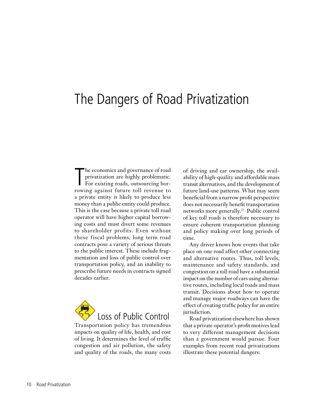### The Dangers of Road Privatization

The economics and governance of road<br>privatization are highly problematic.<br>For existing roads, outsourcing bor-<br>rowing against future toll revenue to he economics and governance of road privatization are highly problematic. For existing roads, outsourcing bora private entity is likely to produce less money than a public entity could produce. This is the case because a private toll road operator will have higher capital borrowing costs and must divert some revenues to shareholder profits. Even without these fiscal problems, long term road contracts pose a variety of serious threats to the public interest. These include fragmentation and loss of public control over transportation policy, and an inability to prescribe future needs in contracts signed decades earlier.



Transportation policy has tremendous impacts on quality of life, health, and cost of living. It determines the level of traffic congestion and air pollution, the safety and quality of the roads, the many costs of driving and car ownership, the availability of high-quality and affordable mass transit alternatives, and the development of future land-use patterns. What may seem beneficial from a narrow profit perspective does not necessarily benefit transportation networks more generally.25 Public control of key toll roads is therefore necessary to ensure coherent transportation planning and policy making over long periods of time.

Any driver knows how events that take place on one road affect other connecting and alternative routes. Thus, toll levels, maintenance and safety standards, and congestion on a toll road have a substantial impact on the number of cars using alternative routes, including local roads and mass transit. Decisions about how to operate and manage major roadways can have the effect of creating traffic policy for an entire jurisdiction.

Road privatization elsewhere has shown that a private operator's profit motives lead to very different management decisions than a government would pursue. Four examples from recent road privatizations illustrate these potential dangers: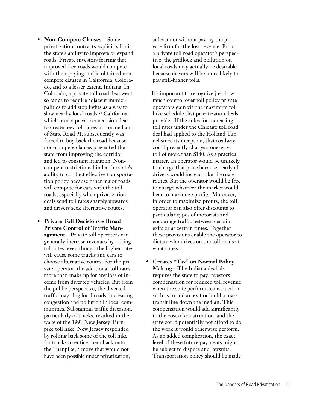- **Non-Compete Clauses**—Some privatization contracts explicitly limit the state's ability to improve or expand roads. Private investors fearing that improved free roads would compete with their paying traffic obtained noncompete clauses in California, Colorado, and to a lesser extent, Indiana. In Colorado, a private toll road deal went so far as to require adjacent municipalities to add stop lights as a way to slow nearby local roads.<sup>26</sup> California, which used a private concession deal to create new toll lanes in the median of State Road 91, subsequently was forced to buy back the road because non-compete clauses prevented the state from improving the corridor and led to constant litigation. Noncompete restrictions hinder the state's ability to conduct effective transportation policy because other major roads will compete for cars with the toll roads, especially when privatization deals send toll rates sharply upwards and drivers seek alternative routes.
- **Private Toll Decisions = Broad Private Control of Traffic Management**—Private toll operators can generally increase revenues by raising toll rates, even though the higher rates will cause some trucks and cars to choose alternative routes. For the private operator, the additional toll rates more than make up for any loss of income from diverted vehicles. But from the public perspective, the diverted traffic may clog local roads, increasing congestion and pollution in local communities. Substantial traffic diversion, particularly of trucks, resulted in the wake of the 1991 New Jersey Turnpike toll hike. New Jersey responded by rolling back some of the toll hike for trucks to entice them back onto the Turnpike, a move that would not have been possible under privatization,

at least not without paying the private firm for the lost revenue. From a private toll road operator's perspective, the gridlock and pollution on local roads may actually be desirable because drivers will be more likely to pay still-higher tolls.

 It's important to recognize just how much control over toll policy private operators gain via the maximum toll hike schedule that privatization deals provide. If the rules for increasing toll rates under the Chicago toll road deal had applied to the Holland Tunnel since its inception, that roadway could presently charge a one-way toll of more than \$180. As a practical matter, an operator would be unlikely to charge that price because nearly all drivers would instead take alternate routes. But the operator would be free to charge whatever the market would bear to maximize profits. Moreover, in order to maximize profits, the toll operator can also offer discounts to particular types of motorists and encourage traffic between certain exits or at certain times. Together these provisions enable the operator to dictate who drives on the toll roads at what times.

• **Creates "Tax" on Normal Policy Making**—The Indiana deal also requires the state to pay investors compensation for reduced toll revenue when the state performs construction such as to add an exit or build a mass transit line down the median. This compensation would add significantly to the cost of construction, and the state could potentially not afford to do the work it would otherwise perform. As an added complication, the exact level of these future payments might be subject to dispute and lawsuits. Transportation policy should be made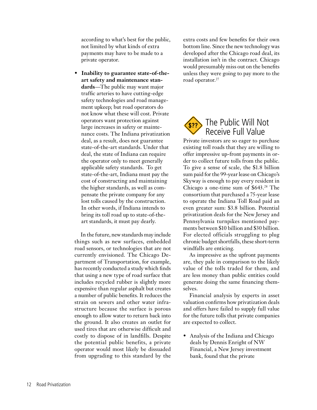according to what's best for the public, not limited by what kinds of extra payments may have to be made to a private operator.

• **Inability to guarantee state-of-theart safety and maintenance standards**—The public may want major traffic arteries to have cutting-edge safety technologies and road management upkeep; but road operators do not know what these will cost. Private operators want protection against large increases in safety or maintenance costs. The Indiana privatization deal, as a result, does not guarantee state-of-the-art standards. Under that deal, the state of Indiana can require the operator only to meet generally applicable safety standards. To get state-of-the-art, Indiana must pay the cost of constructing and maintaining the higher standards, as well as compensate the private company for any lost tolls caused by the construction. In other words, if Indiana intends to bring its toll road up to state-of-theart standards, it must pay dearly.

In the future, new standards may include things such as new surfaces, embedded road sensors, or technologies that are not currently envisioned. The Chicago Department of Transportation, for example, has recently conducted a study which finds that using a new type of road surface that includes recycled rubber is slightly more expensive than regular asphalt but creates a number of public benefits. It reduces the strain on sewers and other water infrastructure because the surface is porous enough to allow water to return back into the ground. It also creates an outlet for used tires that are otherwise difficult and costly to dispose of in landfills. Despite the potential public benefits, a private operator would most likely be dissuaded from upgrading to this standard by the

extra costs and few benefits for their own bottom line. Since the new technology was developed after the Chicago road deal, its installation isn't in the contract. Chicago would presumably miss out on the benefits unless they were going to pay more to the road operator.<sup>27</sup>



Private investors are so eager to purchase existing toll roads that they are willing to offer impressive up-front payments in order to collect future tolls from the public. To give a sense of scale, the \$1.8 billion sum paid for the 99-year lease on Chicago's Skyway is enough to pay every resident in Chicago a one-time sum of \$643.28 The consortium that purchased a 75-year lease to operate the Indiana Toll Road paid an even greater sum: \$3.8 billion. Potential privatization deals for the New Jersey and Pennsylvania turnpikes mentioned payments between \$10 billion and \$30 billion. For elected officials struggling to plug chronic budget shortfalls, these short-term windfalls are enticing.

As impressive as the upfront payments are, they pale in comparison to the likely value of the tolls traded for them, and are less money than public entities could generate doing the same financing themselves.

Financial analysis by experts in asset valuation confirms how privatization deals and offers have failed to supply full value for the future tolls that private companies are expected to collect.

• Analysis of the Indiana and Chicago deals by Dennis Enright of NW Financial, a New Jersey investment bank, found that the private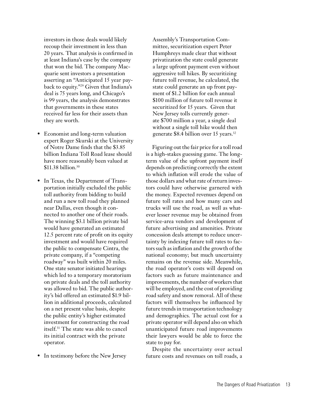investors in those deals would likely recoup their investment in less than 20 years. That analysis is confirmed in at least Indiana's case by the company that won the bid. The company Macquarie sent investors a presentation asserting an "Anticipated 15 year payback to equity."29 Given that Indiana's deal is 75 years long, and Chicago's is 99 years, the analysis demonstrates that governments in these states received far less for their assets than they are worth.

- Economist and long-term valuation expert Roger Skurski at the University of Notre Dame finds that the \$3.85 billion Indiana Toll Road lease should have more reasonably been valued at \$11.38 billion.<sup>30</sup>
- In Texas, the Department of Transportation initially excluded the public toll authority from bidding to build and run a new toll road they planned near Dallas, even though it connected to another one of their roads. The winning \$3.1 billion private bid would have generated an estimated 12.5 percent rate of profit on its equity investment and would have required the public to compensate Cintra, the private company, if a "competing roadway" was built within 20 miles. One state senator initiated hearings which led to a temporary moratorium on private deals and the toll authority was allowed to bid. The public authority's bid offered an estimated \$1.9 billion in additional proceeds, calculated on a net present value basis, despite the public entity's higher estimated investment for constructing the road itself.31 The state was able to cancel its initial contract with the private operator.
- In testimony before the New Jersey

Assembly's Transportation Committee, securitization expert Peter Humphreys made clear that without privatization the state could generate a large upfront payment even without aggressive toll hikes. By securitizing future toll revenue, he calculated, the state could generate an up front payment of \$1.2 billion for each annual \$100 million of future toll revenue it securitized for 15 years. Given that New Jersey tolls currently generate \$700 million a year, a single deal without a single toll hike would then generate \$8.4 billion over 15 years.32

Figuring out the fair price for a toll road is a high-stakes guessing game. The longterm value of the upfront payment itself depends on predicting correctly the extent to which inflation will erode the value of those dollars and what rate of return investors could have otherwise garnered with the money. Expected revenues depend on future toll rates and how many cars and trucks will use the road, as well as whatever lesser revenue may be obtained from service-area vendors and development of future advertising and amenities. Private concession deals attempt to reduce uncertainty by indexing future toll rates to factors such as inflation and the growth of the national economy; but much uncertainty remains on the revenue side. Meanwhile, the road operator's costs will depend on factors such as future maintenance and improvements, the number of workers that will be employed, and the cost of providing road safety and snow removal. All of these factors will themselves be influenced by future trends in transportation technology and demographics. The actual cost for a private operator will depend also on which unanticipated future road improvements their lawyers would be able to force the state to pay for.

Despite the uncertainty over actual future costs and revenues on toll roads, a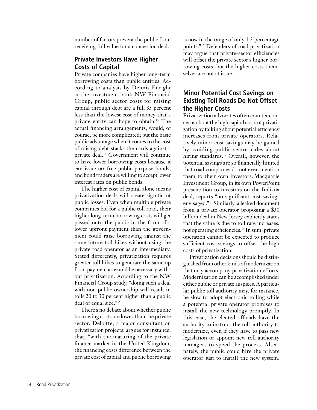number of factors prevent the public from receiving full value for a concession deal.

#### **Private Investors Have Higher Costs of Capital**

Private companies have higher long-term borrowing costs than public entities. According to analysis by Dennis Enright at the investment bank NW Financial Group, public sector costs for raising capital through debt are a full 35 percent less than the lowest cost of money that a private entity can hope to obtain.33 The actual financing arrangements, would, of course, be more complicated; but the basic public advantage when it comes to the cost of raising debt stacks the cards against a private deal.34 Government will continue to have lower borrowing costs because it can issue tax-free public-purpose bonds, and bond traders are willing to accept lower interest rates on public bonds.

The higher cost of capital alone means privatization deals will create significant public losses. Even when multiple private companies bid for a public toll road, their higher long-term borrowing costs will get passed onto the public in the form of a lower upfront payment than the government could raise borrowing against the same future toll hikes without using the private road operator as an intermediary. Stated differently, privatization requires greater toll hikes to generate the same up front payment as would be necessary without privatization. According to the NW Financial Group study, "doing such a deal with non-public ownership will result in tolls 20 to 30 percent higher than a public deal of equal size."35

There's no debate about whether public borrowing costs are lower than the private sector. Deloitte, a major consultant on privatization projects, argues for instance, that, "with the maturing of the private finance market in the United Kingdom, the financing costs difference between the private cost of capital and public borrowing is now in the range of only 1-3 percentage points."36 Defenders of road privatization may argue that private-sector efficiencies will offset the private sector's higher borrowing costs, but the higher costs themselves are not at issue.

#### **Minor Potential Cost Savings on Existing Toll Roads Do Not Offset the Higher Costs**

Privatization advocates often counter concerns about the high capital costs of privatization by talking about potential efficiency increases from private operators. Relatively minor cost savings may be gained by avoiding public-sector rules about hiring standards.<sup>37</sup> Overall, however, the potential savings are so financially limited that road companies do not even mention them to their own investors. Macquarie Investment Group, in its own PowerPoint presentation to investors on the Indiana deal, reports "no significant cost savings envisaged."38 Similarly, a leaked document from a private operator proposing a \$30 billion deal in New Jersey explicitly states that the value is due to toll rate increases, not operating efficiencies.39 In sum, private operation cannot be expected to produce sufficient cost savings to offset the high costs of privatization.

Privatization decisions should be distinguished from other kinds of modernization that may accompany privatization efforts. Modernization can be accomplished under either public or private auspices. A particular public toll authority may, for instance, be slow to adopt electronic tolling while a potential private operator promises to install the new technology promptly. In this case, the elected officials have the authority to instruct the toll authority to modernize, even if they have to pass new legislation or appoint new toll authority managers to speed the process. Alternately, the public could hire the private operator just to install the new system.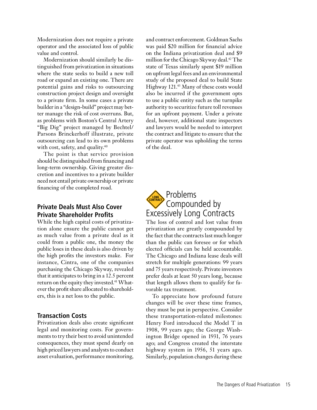Modernization does not require a private operator and the associated loss of public value and control.

Modernization should similarly be distinguished from privatization in situations where the state seeks to build a new toll road or expand an existing one. There are potential gains and risks to outsourcing construction project design and oversight to a private firm. In some cases a private builder in a "design-build" project may better manage the risk of cost overruns. But, as problems with Boston's Central Artery "Big Dig" project managed by Bechtel/ Parsons Brinckerhoff illustrate, private outsourcing can lead to its own problems with cost, safety, and quality.<sup>40</sup>

The point is that service provision should be distinguished from financing and long-term ownership. Giving greater discretion and incentives to a private builder need not entail private ownership or private financing of the completed road.

#### **Private Deals Must Also Cover Private Shareholder Profits**

While the high capital costs of privatization alone ensure the public cannot get as much value from a private deal as it could from a public one, the money the public loses in these deals is also driven by the high profits the investors make. For instance, Cintra, one of the companies purchasing the Chicago Skyway, revealed that it anticipates to bring in a 12.5 percent return on the equity they invested.<sup>41</sup> Whatever the profit share allocated to shareholders, this is a net loss to the public.

#### **Transaction Costs**

Privatization deals also create significant legal and monitoring costs. For governments to try their best to avoid unintended consequences, they must spend dearly on high priced lawyers and analysts to conduct asset evaluation, performance monitoring,

and contract enforcement. Goldman Sachs was paid \$20 million for financial advice on the Indiana privatization deal and \$9 million for the Chicago Skyway deal.<sup>42</sup> The state of Texas similarly spent \$19 million on upfront legal fees and an environmental study of the proposed deal to build State Highway 121.<sup>43</sup> Many of these costs would also be incurred if the government opts to use a public entity such as the turnpike authority to securitize future toll revenues for an upfront payment. Under a private deal, however, additional state inspectors and lawyers would be needed to interpret the contract and litigate to ensure that the private operator was upholding the terms of the deal.



The loss of control and lost value from privatization are greatly compounded by the fact that the contracts last much longer than the public can foresee or for which elected officials can be held accountable. The Chicago and Indiana lease deals will stretch for multiple generations: 99 years and 75 years respectively. Private investors prefer deals at least 50 years long, because that length allows them to qualify for favorable tax treatment.

To appreciate how profound future changes will be over these time frames, they must be put in perspective. Consider these transportation-related milestones: Henry Ford introduced the Model T in 1908, 99 years ago; the George Washington Bridge opened in 1931, 76 years ago; and Congress created the interstate highway system in 1956, 51 years ago. Similarly, population changes during these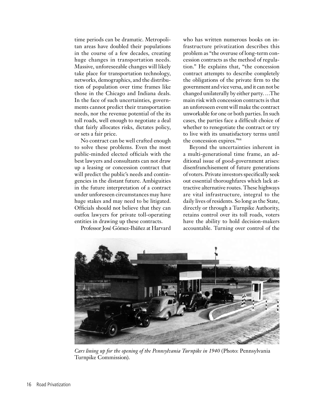time periods can be dramatic. Metropolitan areas have doubled their populations in the course of a few decades, creating huge changes in transportation needs. Massive, unforeseeable changes will likely take place for transportation technology, networks, demographics, and the distribution of population over time frames like those in the Chicago and Indiana deals. In the face of such uncertainties, governments cannot predict their transportation needs, nor the revenue potential of the its toll roads, well enough to negotiate a deal that fairly allocates risks, dictates policy, or sets a fair price.

No contract can be well crafted enough to solve these problems. Even the most public-minded elected officials with the best lawyers and consultants can not draw up a leasing or concession contract that will predict the public's needs and contingencies in the distant future. Ambiguities in the future interpretation of a contract under unforeseen circumstances may have huge stakes and may need to be litigated. Officials should not believe that they can outfox lawyers for private toll-operating entities in drawing up these contracts.

Professor José Gómez-Ibáñez at Harvard

who has written numerous books on infrastructure privatization describes this problem as "the overuse of long-term concession contracts as the method of regulation." He explains that, "the concession contract attempts to describe completely the obligations of the private firm to the government and vice versa, and it can not be changed unilaterally by either party. …The main risk with concession contracts is that an unforeseen event will make the contract unworkable for one or both parties. In such cases, the parties face a difficult choice of whether to renegotiate the contract or try to live with its unsatisfactory terms until the concession expires."44

Beyond the uncertainties inherent in a multi-generational time frame, an additional issue of good-government arises: disenfranchisement of future generations of voters. Private investors specifically seek out essential thoroughfares which lack attractive alternative routes. These highways are vital infrastructure, integral to the daily lives of residents. So long as the State, directly or through a Turnpike Authority, retains control over its toll roads, voters have the ability to hold decision-makers accountable. Turning over control of the



*Cars lining up for the opening of the Pennsylvania Turnpike in 1940* (Photo: Pennsylvania Turnpike Commission).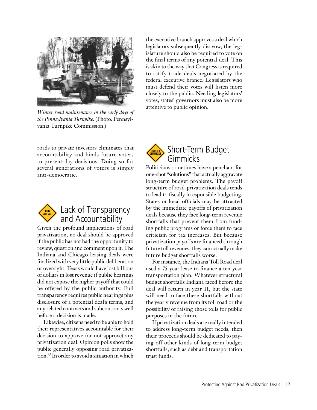

*Winter road maintenance in the early days of the Pennsylvania Turnpike.* (Photo: Pennsylvania Turnpike Commission.)

roads to private investors eliminates that accountability and binds future voters to present-day decisions. Doing so for several generations of voters is simply anti-democratic.



### Lack of Transparency and Accountability

Given the profound implications of road privatization, no deal should be approved if the public has not had the opportunity to review, question and comment upon it. The Indiana and Chicago leasing deals were finalized with very little public deliberation or oversight. Texas would have lost billions of dollars in lost revenue if public hearings did not expose the higher payoff that could be offered by the public authority. Full transparency requires public hearings plus disclosure of a potential deal's terms, and any related contracts and subcontracts well before a decision is made.

Likewise, citizens need to be able to hold their representatives accountable for their decision to approve (or not approve) any privatization deal. Opinion polls show the public generally opposing road privatization.45 In order to avoid a situation in which

the executive branch approves a deal which legislators subsequently disavow, the legislature should also be required to vote on the final terms of any potential deal. This is akin to the way that Congress is required to ratify trade deals negotiated by the federal executive brance. Legislators who must defend their votes will listen more closely to the public. Needing legislators' votes, states' governors must also be more attentive to public opinion.



Politicians sometimes have a penchant for one-shot "solutions" that actually aggravate long-term budget problems. The payoff structure of road-privatization deals tends to lead to fiscally irresponsible budgeting. States or local officials may be attracted by the immediate payoffs of privatization deals because they face long-term revenue shortfalls that prevent them from funding public programs or force them to face criticism for tax increases. But because privatization payoffs are financed through future toll revenues, they can actually make future budget shortfalls worse.

For instance, the Indiana Toll Road deal used a 75-year lease to finance a ten-year transportation plan. Whatever structural budget shortfalls Indiana faced before the deal will return in year 11, but the state will need to face these shortfalls without the yearly revenue from its toll road or the possibility of raising those tolls for public purposes in the future.

If privatization deals are really intended to address long-term budget needs, then their proceeds should be dedicated to paying off other kinds of long-term budget shortfalls, such as debt and transportation trust funds.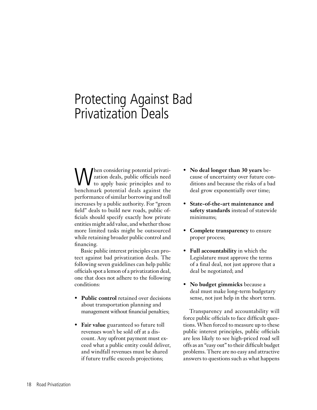### Protecting Against Bad Privatization Deals

hen considering potential privatization deals, public officials need to apply basic principles and to benchmark potential deals against the performance of similar borrowing and toll increases by a public authority. For "green field" deals to build new roads, public officials should specify exactly how private entities might add value, and whether those more limited tasks might be outsourced while retaining broader public control and financing.

Basic public interest principles can protect against bad privatization deals. The following seven guidelines can help public officials spot a lemon of a privatization deal, one that does not adhere to the following conditions:

- **Public control** retained over decisions about transportation planning and management without financial penalties;
- **Fair value** guaranteed so future toll revenues won't be sold off at a discount. Any upfront payment must exceed what a public entity could deliver, and windfall revenues must be shared if future traffic exceeds projections;
- **No deal longer than 30 years** because of uncertainty over future conditions and because the risks of a bad deal grow exponentially over time;
- **State-of-the-art maintenance and safety standards** instead of statewide minimums;
- **Complete transparency** to ensure proper process;
- **Full accountability** in which the Legislature must approve the terms of a final deal, not just approve that a deal be negotiated; and
- **No budget gimmicks** because a deal must make long-term budgetary sense, not just help in the short term.

Transparency and accountability will force public officials to face difficult questions. When forced to measure up to these public interest principles, public officials are less likely to see high-priced road sell offs as an "easy out" to their difficult budget problems. There are no easy and attractive answers to questions such as what happens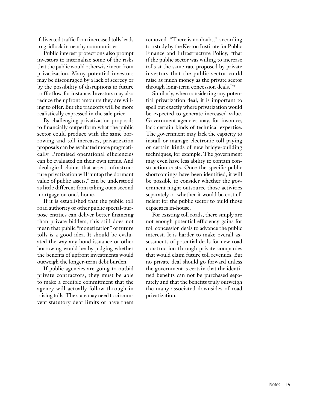if diverted traffic from increased tolls leads to gridlock in nearby communities.

Public interest protections also prompt investors to internalize some of the risks that the public would otherwise incur from privatization. Many potential investors may be discouraged by a lack of secrecy or by the possibility of disruptions to future traffic flow, for instance. Investors may also reduce the upfront amounts they are willing to offer. But the tradeoffs will be more realistically expressed in the sale price.

By challenging privatization proposals to financially outperform what the public sector could produce with the same borrowing and toll increases, privatization proposals can be evaluated more pragmatically. Promised operational efficiencies can be evaluated on their own terms. And ideological claims that assert infrastructure privatization will "untap the dormant value of public assets," can be understood as little different from taking out a second mortgage on one's home.

If it is established that the public toll road authority or other public special-purpose entities can deliver better financing than private bidders, this still does not mean that public "monetization" of future tolls is a good idea. It should be evaluated the way any bond issuance or other borrowing would be: by judging whether the benefits of upfront investments would outweigh the longer-term debt burden.

If public agencies are going to outbid private contractors, they must be able to make a credible commitment that the agency will actually follow through in raising tolls. The state may need to circumvent statutory debt limits or have them

removed. "There is no doubt," according to a study by the Keston Institute for Public Finance and Infrastructure Policy, "that if the public sector was willing to increase tolls at the same rate proposed by private investors that the public sector could raise as much money as the private sector through long-term concession deals."46

Similarly, when considering any potential privatization deal, it is important to spell out exactly where privatization would be expected to generate increased value. Government agencies may, for instance, lack certain kinds of technical expertise. The government may lack the capacity to install or manage electronic toll paying or certain kinds of new bridge-building techniques, for example. The government may even have less ability to contain construction costs. Once the specific public shortcomings have been identified, it will be possible to consider whether the government might outsource those activities separately or whether it would be cost efficient for the public sector to build those capacities in-house.

For existing toll roads, there simply are not enough potential efficiency gains for toll concession deals to advance the public interest. It is harder to make overall assessments of potential deals for new road construction through private companies that would claim future toll revenues. But no private deal should go forward unless the government is certain that the identified benefits can not be purchased separately and that the benefits truly outweigh the many associated downsides of road privatization.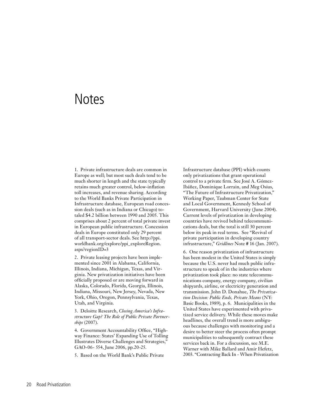### **Notes**

1. Private infrastructure deals are common in Europe as well; but most such deals tend to be much shorter in length and the state typically retains much greater control, below-inflation toll increases, and revenue sharing. According to the World Banks Private Participation in Infrastructure database, European road concession deals (such as in Indiana or Chicago) totaled \$4.2 billion between 1990 and 2005. This comprises about 2 percent of total private invest in European public infrastructure. Concession deals in Europe constituted only 29 percent of all transport-sector deals. See http://ppi. worldbank.org/explore/ppi\_exploreRegion. aspx?regionID=3

2. Private leasing projects have been implemented since 2001 in Alabama, California, Illinois, Indiana, Michigan, Texas, and Virginia. New privatization initiatives have been officially proposed or are moving forward in Alaska, Colorado, Florida, Georgia, Illinois, Indiana, Missouri, New Jersey, Nevada, New York, Ohio, Oregon, Pennsylvania, Texas, Utah, and Virginia.

3. Deloitte Research, *Closing America's Infrastructure Gap? The Role of Public Private Partnerships* (2007).

4. Government Accountability Office, "Highway Finance: States' Expanding Use of Tolling Illustrates Diverse Challenges and Strategies," GAO-06- 554, June 2006, pp.20-25.

5. Based on the World Bank's Public Private

Infrastructure database (PPI) which counts only privatizations that grant operational control to a private firm. See José A. Gómez-Ibáñez, Dominique Lorrain, and Meg Osius, "The Future of Infrastructure Privatization," Working Paper, Taubman Center for State and Local Government, Kennedy School of Government, Harvard University (June 2004). Current levels of privatization in developing countries have revived behind telecommunications deals, but the total is still 30 percent below its peak in real terms. See "Revival of private participation in developing country infrastructure," *Gridlines* Note # 16 (Jan. 2007).

6. One reason privatization of infrastructure has been modest in the United States is simply because the U.S. never had much public infrastructure to speak of in the industries where privatization took place: no state telecommunications company, energy company, civilian shipyards, airline, or electricity generation and transmission. John D. Donahue, *The Privatization Decision: Public Ends, Private Means* (NY: Basic Books, 1989), p. 6. Municipalities in the United States have experimented with privatized service delivery. While these moves make headlines, the overall trend is more ambiguous because challenges with monitoring and a desire to better steer the process often prompt municipalities to subsequently contract these services back in. For a discussion, see M.E. Warner with Mike Ballard and Amir Hefetz, 2003. "Contracting Back In - When Privatization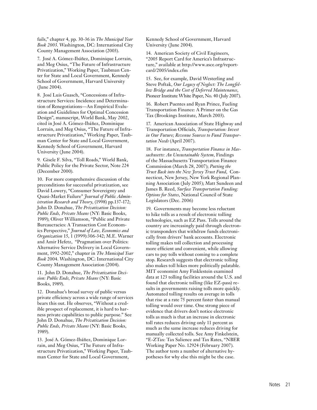fails," chapter 4, pp. 30-36 in *The Municipal Year Book 2003*. Washington, DC: International City County Management Association (2003).

7. José A. Gómez-Ibáñez, Dominique Lorrain, and Meg Osius, "The Future of Infrastructure Privatization," Working Paper, Taubman Center for State and Local Government, Kennedy School of Government, Harvard University (June 2004).

8. José Luis Guasch, "Concessions of Infrastructure Services: Incidence and Determination of Renegotiations—An Empirical Evaluation and Guidelines for Optimal Concession Design", manuscript, World Bank, May 2002, cited in José A. Gómez-Ibáñez, Dominique Lorrain, and Meg Osius, "The Future of Infrastructure Privatization," Working Paper, Taubman Center for State and Local Government, Kennedy School of Government, Harvard University (June 2004).

9. Gisele F. Silva, "Toll Roads," World Bank, Public Policy for the Private Sector, Note 224 (December 2000).

10. For more comprehensive discussion of the preconditions for successful privatization, see David Lowery, "Consumer Sovereignty and Quasi-Market Failure" *Journal of Public Administration Research and Theory*, (1998) pp.137-172; John D. Donahue, *The Privatization Decision: Public Ends, Private Means* (NY: Basic Books, 1989); Oliver Williamson, "Public and Private Bureaucracies: A Transaction Cost Economics Perspective," *Journal of Law, Economics and Organization* 15, 1 (1999):306-342; M.E. Warner and Amir Hefetz, "Pragmatism over Politics: Alternative Service Delivery in Local Government, 1992-2002," chapter in *The Municipal Year Book* 2004. Washington, DC: International City County Management Association (2004).

11. John D. Donahue, *The Privatization Decision: Public Ends, Private Means* (NY: Basic Books, 1989).

12. Donahue's broad survey of public versus private efficiency across a wide range of services bears this out. He observes, "Without a credible prospect of replacement, it is hard to harness private capabilities to public purpose." See John D. Donahue, *The Privatization Decision: Public Ends, Private Means* (NY: Basic Books, 1989).

13. José A. Gómez-Ibáñez, Dominique Lorrain, and Meg Osius, "The Future of Infrastructure Privatization," Working Paper, Taubman Center for State and Local Government,

Kennedy School of Government, Harvard University (June 2004).

14. American Society of Civil Engineers, "2005 Report Card for America's Infrastructure," available at http://www.asce.org/reportcard/2005/index.cfm

15. See, for example, David Westerling and Steve Poftak, *Our Legacy of Neglect: The Longfellow Bridge and the Cost of Deferred Maintenance*, Pioneer Institute White Paper, No. 40 (July 2007).

16. Robert Puentes and Ryan Prince, Fueling Transportation Finance: A Primer on the Gas Tax (Brookings Institute, March 2003).

17. American Association of State Highway and Transportation Officials*, Transportation: Invest in Our Future; Revenue Sources to Fund Transportation Needs* (April 2007).

18. For instance, *Transportation Finance in Massachusetts: An Unsustainable System*, Findings of the Massachusetts Transportation Finance Commission (March 28, 2007); *Putting the Trust Back into the New Jersey Trust Fund*, Connecticut, New Jersey, New York Regional Planning Association (July 2005); Matt Sundeen and James B. Reed, *Surface Transportation Funding: Options for States*, National Council of State Legislators (Dec. 2006)

19. Governments may become less reluctant to hike tolls as a result of electronic tolling technologies, such as EZ Pass. Tolls around the country are increasingly paid through electronic transponders that withdraw funds electronically from drivers' bank accounts. Electronic tolling makes toll collection and processing more efficient and convenient, while allowing cars to pay tolls without coming to a complete stop. Research suggests that electronic tolling also makes toll hikes more politically palatable. MIT economist Amy Finklestein examined data at 123 tolling facilities around the U.S. and found that electronic tolling (like EZ-pass) results in governments raising tolls more quickly. Automated tolling results on average in tolls that rise at a rate 75 percent faster than manual tolling would over time. One strong piece of evidence that drivers don't notice electronic tolls as much is that an increase in electronic toll rates reduces driving only 11 percent as much as the same increase reduces driving for manually collected tolls. See Amy Finkelstein, "E-ZTax: Tax Salience and Tax Rates, "NBER Working Paper No. 12924 (February 2007). The author tests a number of alternative hypotheses for why else this might be the case.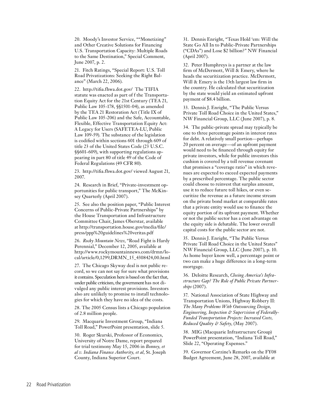20. Moody's Investor Service, ""Monetizing" and Other Creative Solutions for Financing U.S. Transportation Capacity: Multiple Roads to the Same Destination," Special Comment, June 2007, p. 2.

21. Fitch Ratings, "Special Report: U.S. Toll Road Privatizations: Seeking the Right Balance" (March 22, 2006).

22. http://tifia.fhwa.dot.gov/ The TIFIA statute was enacted as part of f the Transportation Equity Act for the 21st Century (TEA 21, Public Law 105-178, §§1501-04), as amended by the TEA 21 Restoration Act (Title IX of Public Law 105-206) and the Safe, Accountable, Flexible, Effective Transportation Equity Act: A Legacy for Users (SAFETEA-LU, Public Law 109-59). The substance of the legislation is codified within sections 601 through 609 of title 23 of the United States Code (23 U.S.C. §§601-609), with supporting regulations appearing in part 80 of title 49 of the Code of Federal Regulations (49 CFR 80).

23. http://tifia.fhwa.dot.gov/ viewed August 21, 2007.

24. Research in Brief, "Private-investment opportunities for public transport," The McKinsey Quarterly (April 2007).

25. See also the position paper, "Public Interest Concerns of Public-Private Partnerships" by the House Transportation and Infrastructure Committee Chair, James Oberstar, available at http://transportation.house.gov/media/file/ press/ppp%20guidelines%20veritas.pdf

26. *Rocky Mountain News*, "Road Fight is Hardy Perennial," December 12, 2005, available at http://www.rockymountainnews.com/drmn/local/article/0,1299,DRMN\_15\_4308424,00.html

27. The Chicago Skyway deal is not public record, so we can not say for sure what provisions it contains. Speculation here is based on the fact that, under public criticism, the government has not divulged any public interest provisions. Investors also are unlikely to promise to install technologies for which they have no idea of the costs.

28. The 2005 Census lists a Chicago population of 2.8 million people.

29. Macquarie Investment Group, "Indiana Toll Road," PowerPoint presentation, slide 5.

30. Roger Skurski, Professor of Economics, University of Notre Dame, report prepared for trial testimony May 15, 2006 in *Bonney, et al v. Indiana Finance Authority, et al*, St. Joseph County, Indiana Superior Court.

31. Dennis Enright, "Texas Hold 'em: Will the State Go All In to Public-Private Partnerships ("CDAs") and Lose \$2 billion?" NW Financial (April 2007).

32. Peter Humphreys is a partner at the law firm of McDermott, Will & Emery, where he heads the securitization practice. McDermott, Will & Emery is the 13th largest law firm in the country. He calculated that securitization by the state would yield an estimated upfront payment of \$8.4 billion.

33. Dennis J. Enright, "The Public Versus Private Toll Road Choice in the United States," NW Financial Group, LLC (June 2007), p. 8.

34. The public-private spread may typically be one to three percentage points in interest rates for debt. A relatively small portion—perhaps 20 percent on average—of an upfront payment would need to be financed through equity for private investors, while for public investors this cushion is covered by a toll revenue covenant that promises a "coverage ratio" in which revenues are expected to exceed expected payments by a prescribed percentage. The public sector could choose to reinvest that surplus amount, use it to reduce future toll hikes, or even securitize the revenue as a future income stream on the private bond market at comparable rates that a private entity would use to finance the equity portion of its upfront payment. Whether or not the public sector has a cost advantage on the equity side is debatable. The lower overall capital costs for the public sector are not.

35. Dennis J. Enright, "The Public Versus Private Toll Road Choice in the United States" NW Financial Group, LLC (June 2007), p. 10. As home buyer know well, a percentage point or two can make a huge difference in a long-term mortgage.

36. Deloitte Research, *Closing America's Infrastructure Gap? The Role of Public Private Partnerships* (2007).

37. National Association of State Highway and Transportation Unions, Highway Robbery II: *The Many Problems With Outsourcing Design, Engineering, Inspection & Supervision of Federally-Funded Transportation Projects: Increased Costs, Reduced Quality & Safety*, (May 2007).

38. MIG (Macquarie Infrastructure Group) PowerPoint presentation, "Indiana Toll Road," Slide 22, "Operating Expenses."

39. Governor Corzine's Remarks on the FY08 Budget Agreement, June 28, 2007, available at